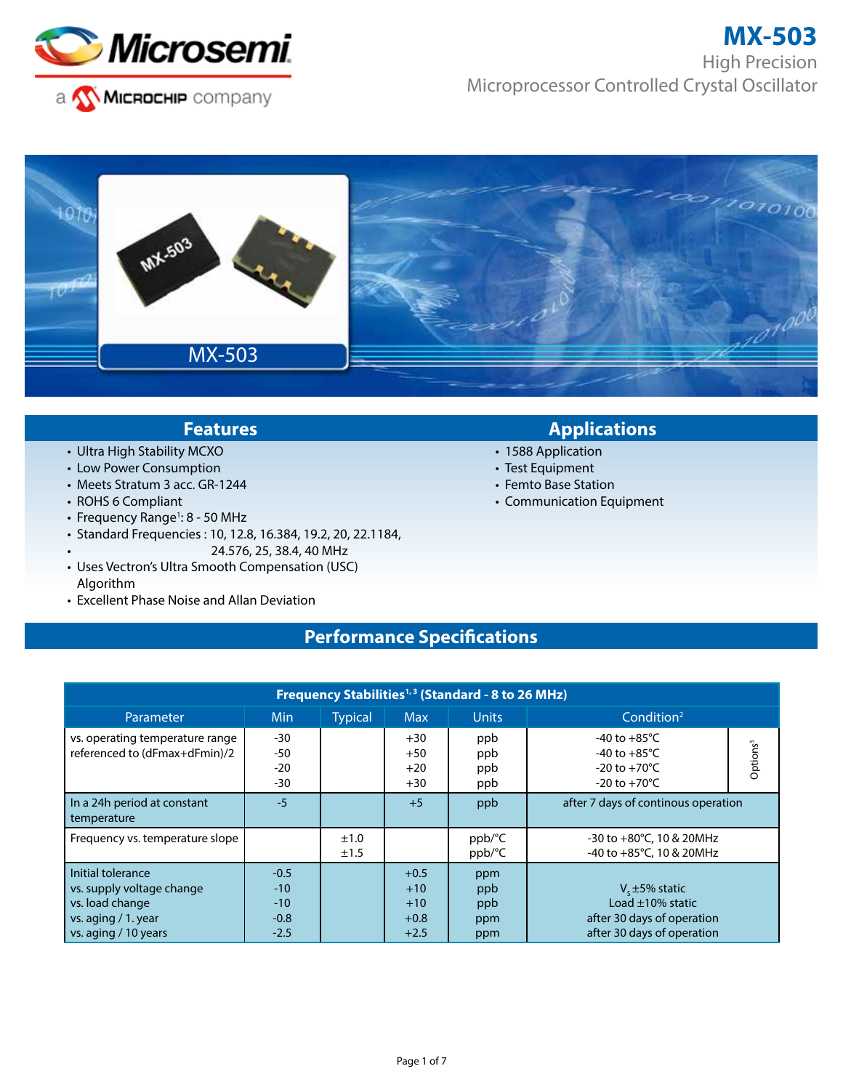

# **MX-503**

High Precision Microprocessor Controlled Crystal Oscillator



- Ultra High Stability MCXO
- Low Power Consumption
- Meets Stratum 3 acc. GR-1244
- ROHS 6 Compliant
- Frequency Range<sup>1</sup>: 8 50 MHz
- Standard Frequencies : 10, 12.8, 16.384, 19.2, 20, 22.1184,
	- 24.576, 25, 38.4, 40 MHz
- Uses Vectron's Ultra Smooth Compensation (USC) Algorithm
- Excellent Phase Noise and Allan Deviation

## **Features Applications**

- 1588 Application
- Test Equipment
- Femto Base Station
- Communication Equipment

# **Performance Specifications**

| Frequency Stabilities <sup>1,3</sup> (Standard - 8 to 26 MHz)                                                      |                                              |                |                                              |                                 |                                                                                                          |                      |
|--------------------------------------------------------------------------------------------------------------------|----------------------------------------------|----------------|----------------------------------------------|---------------------------------|----------------------------------------------------------------------------------------------------------|----------------------|
| Parameter                                                                                                          | Min                                          | <b>Typical</b> | <b>Max</b>                                   | <b>Units</b>                    | Condition <sup>2</sup>                                                                                   |                      |
| vs. operating temperature range<br>referenced to (dFmax+dFmin)/2                                                   | $-30$<br>$-50$<br>$-20$<br>$-30$             |                | $+30$<br>$+50$<br>$+20$<br>$+30$             | ppb<br>ppb<br>ppb<br>ppb        | -40 to $+85^{\circ}$ C<br>-40 to $+85^{\circ}$ C<br>$-20$ to $+70^{\circ}$ C<br>$-20$ to $+70^{\circ}$ C | Options <sup>3</sup> |
| In a 24h period at constant<br>temperature                                                                         | $-5$                                         |                | $+5$                                         | ppb                             | after 7 days of continous operation                                                                      |                      |
| Frequency vs. temperature slope                                                                                    |                                              | ±1.0<br>±1.5   |                                              | ppb/°C<br>ppb/°C                | -30 to $+80^{\circ}$ C, 10 & 20MHz<br>-40 to +85°C, 10 & 20MHz                                           |                      |
| Initial tolerance<br>vs. supply voltage change<br>vs. load change<br>vs. aging $/1$ . year<br>vs. aging / 10 years | $-0.5$<br>$-10$<br>$-10$<br>$-0.8$<br>$-2.5$ |                | $+0.5$<br>$+10$<br>$+10$<br>$+0.8$<br>$+2.5$ | ppm<br>ppb<br>ppb<br>ppm<br>ppm | $V_c \pm 5\%$ static<br>Load ±10% static<br>after 30 days of operation<br>after 30 days of operation     |                      |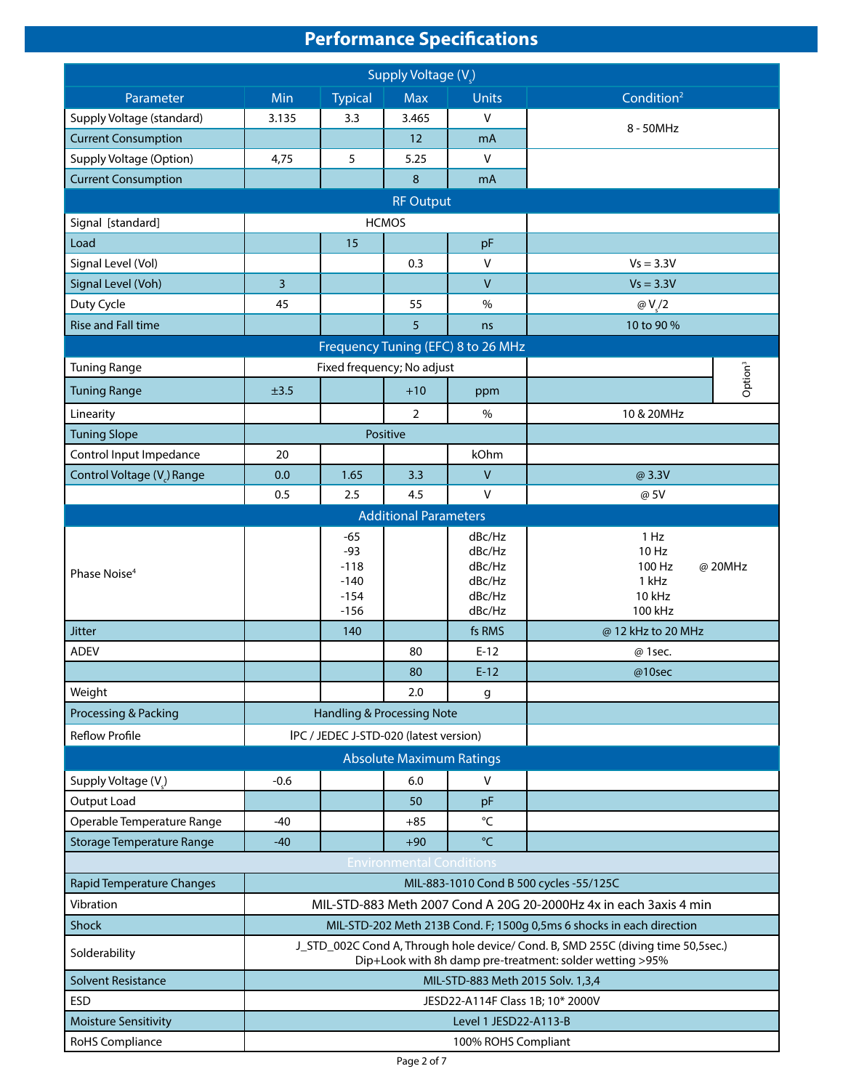# **Performance Specifications**

| Supply Voltage (V)               |                                                                                                                                              |                                                        |                                 |                                                          |                                                                   |  |
|----------------------------------|----------------------------------------------------------------------------------------------------------------------------------------------|--------------------------------------------------------|---------------------------------|----------------------------------------------------------|-------------------------------------------------------------------|--|
| Parameter                        | Min                                                                                                                                          | <b>Typical</b>                                         | <b>Max</b>                      | Units                                                    | Condition <sup>2</sup>                                            |  |
| Supply Voltage (standard)        | 3.135                                                                                                                                        | 3.3                                                    | 3.465                           | v                                                        |                                                                   |  |
| <b>Current Consumption</b>       |                                                                                                                                              |                                                        | $12 \overline{ }$               | mA                                                       | 8 - 50MHz                                                         |  |
| Supply Voltage (Option)          | 4,75                                                                                                                                         | 5                                                      | 5.25                            | $\vee$                                                   |                                                                   |  |
| <b>Current Consumption</b>       |                                                                                                                                              |                                                        | $\,8\,$                         | mA                                                       |                                                                   |  |
|                                  |                                                                                                                                              |                                                        | <b>RF Output</b>                |                                                          |                                                                   |  |
| Signal [standard]                |                                                                                                                                              |                                                        | <b>HCMOS</b>                    |                                                          |                                                                   |  |
| Load                             |                                                                                                                                              | 15                                                     |                                 | pF                                                       |                                                                   |  |
| Signal Level (Vol)               |                                                                                                                                              |                                                        | 0.3                             | v                                                        | $Vs = 3.3V$                                                       |  |
| Signal Level (Voh)               | 3                                                                                                                                            |                                                        |                                 | $\vee$                                                   | $Vs = 3.3V$                                                       |  |
| Duty Cycle                       | 45                                                                                                                                           |                                                        | 55                              | $\%$                                                     | @V/2                                                              |  |
| <b>Rise and Fall time</b>        |                                                                                                                                              |                                                        | 5                               | ns                                                       | 10 to 90 %                                                        |  |
|                                  |                                                                                                                                              |                                                        |                                 | Frequency Tuning (EFC) 8 to 26 MHz                       |                                                                   |  |
| <b>Tuning Range</b>              |                                                                                                                                              | Fixed frequency; No adjust                             |                                 |                                                          | Option <sup>3</sup>                                               |  |
| <b>Tuning Range</b>              | ±3.5                                                                                                                                         |                                                        | $+10$                           | ppm                                                      |                                                                   |  |
| Linearity                        |                                                                                                                                              |                                                        | $\overline{2}$                  | $\%$                                                     | 10 & 20MHz                                                        |  |
| <b>Tuning Slope</b>              |                                                                                                                                              |                                                        | Positive                        |                                                          |                                                                   |  |
| Control Input Impedance          | 20                                                                                                                                           |                                                        |                                 | kOhm                                                     |                                                                   |  |
| Control Voltage (V) Range        | 0.0                                                                                                                                          | 1.65                                                   | 3.3                             | $\mathsf V$                                              | @ 3.3V                                                            |  |
|                                  | 0.5                                                                                                                                          | 2.5                                                    | 4.5                             | V                                                        | @ 5V                                                              |  |
|                                  |                                                                                                                                              |                                                        | <b>Additional Parameters</b>    |                                                          |                                                                   |  |
| Phase Noise <sup>4</sup>         |                                                                                                                                              | $-65$<br>$-93$<br>$-118$<br>$-140$<br>$-154$<br>$-156$ |                                 | dBc/Hz<br>dBc/Hz<br>dBc/Hz<br>dBc/Hz<br>dBc/Hz<br>dBc/Hz | 1 Hz<br>10 Hz<br>100 Hz<br>@ 20MHz<br>1 kHz<br>10 kHz<br>100 kHz  |  |
| <b>Jitter</b>                    |                                                                                                                                              | 140                                                    |                                 | fs RMS                                                   | @ 12 kHz to 20 MHz                                                |  |
| <b>ADEV</b>                      |                                                                                                                                              |                                                        | 80                              | $E-12$                                                   | @ 1sec.                                                           |  |
|                                  |                                                                                                                                              |                                                        | 80                              | $E-12$                                                   | @10sec                                                            |  |
| Weight                           |                                                                                                                                              |                                                        | 2.0                             | g                                                        |                                                                   |  |
| Processing & Packing             |                                                                                                                                              | Handling & Processing Note                             |                                 |                                                          |                                                                   |  |
| <b>Reflow Profile</b>            |                                                                                                                                              | IPC / JEDEC J-STD-020 (latest version)                 |                                 |                                                          |                                                                   |  |
|                                  |                                                                                                                                              |                                                        | <b>Absolute Maximum Ratings</b> |                                                          |                                                                   |  |
| Supply Voltage (V)               | $-0.6$                                                                                                                                       |                                                        | 6.0                             | V                                                        |                                                                   |  |
| Output Load                      |                                                                                                                                              |                                                        | 50                              | pF                                                       |                                                                   |  |
| Operable Temperature Range       | $-40$                                                                                                                                        |                                                        | +85                             | °C                                                       |                                                                   |  |
| <b>Storage Temperature Range</b> | $-40$                                                                                                                                        |                                                        | $+90$                           | °C                                                       |                                                                   |  |
|                                  |                                                                                                                                              |                                                        | <b>Environmental Conditions</b> |                                                          |                                                                   |  |
| <b>Rapid Temperature Changes</b> |                                                                                                                                              |                                                        |                                 |                                                          | MIL-883-1010 Cond B 500 cycles -55/125C                           |  |
| Vibration                        |                                                                                                                                              |                                                        |                                 |                                                          | MIL-STD-883 Meth 2007 Cond A 20G 20-2000Hz 4x in each 3axis 4 min |  |
| Shock                            | MIL-STD-202 Meth 213B Cond. F; 1500g 0,5ms 6 shocks in each direction                                                                        |                                                        |                                 |                                                          |                                                                   |  |
| Solderability                    | J_STD_002C Cond A, Through hole device/ Cond. B, SMD 255C (diving time 50,5sec.)<br>Dip+Look with 8h damp pre-treatment: solder wetting >95% |                                                        |                                 |                                                          |                                                                   |  |
| <b>Solvent Resistance</b>        |                                                                                                                                              |                                                        |                                 | MIL-STD-883 Meth 2015 Solv. 1,3,4                        |                                                                   |  |
| <b>ESD</b>                       |                                                                                                                                              |                                                        |                                 | JESD22-A114F Class 1B; 10* 2000V                         |                                                                   |  |
| <b>Moisture Sensitivity</b>      |                                                                                                                                              |                                                        |                                 | Level 1 JESD22-A113-B                                    |                                                                   |  |
| RoHS Compliance                  | 100% ROHS Compliant                                                                                                                          |                                                        |                                 |                                                          |                                                                   |  |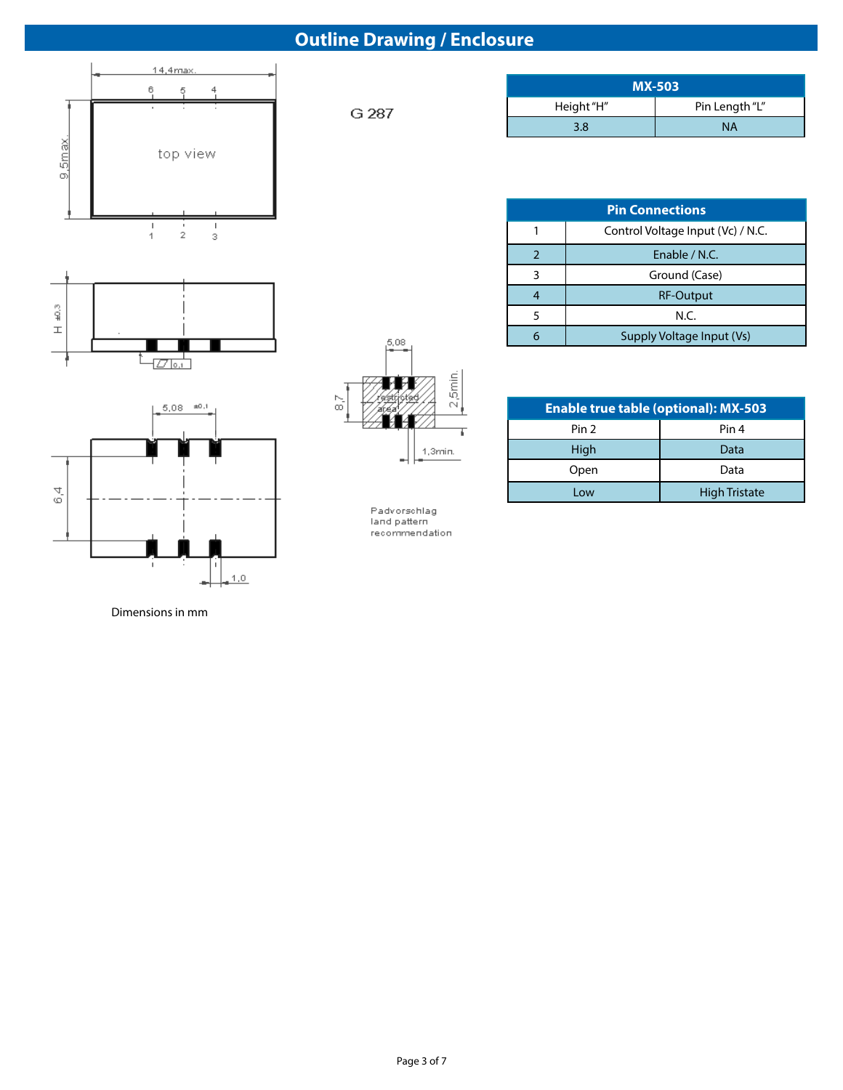# **Outline Drawing / Enclosure**







Dimensions in mm

G 287

| <b>MX-503</b> |                |  |  |  |  |
|---------------|----------------|--|--|--|--|
| Height "H"    | Pin Length "L" |  |  |  |  |
| 3 ጸ           | <b>NA</b>      |  |  |  |  |

| <b>Pin Connections</b> |                                   |  |  |  |  |
|------------------------|-----------------------------------|--|--|--|--|
|                        | Control Voltage Input (Vc) / N.C. |  |  |  |  |
|                        | Enable / N.C.                     |  |  |  |  |
| ર                      | Ground (Case)                     |  |  |  |  |
|                        | <b>RF-Output</b>                  |  |  |  |  |
| 5                      | N.C.                              |  |  |  |  |
|                        | Supply Voltage Input (Vs)         |  |  |  |  |

| <b>Enable true table (optional): MX-503</b> |                      |  |  |  |  |
|---------------------------------------------|----------------------|--|--|--|--|
| Pin <sub>2</sub>                            | Pin 4                |  |  |  |  |
| High                                        | Data                 |  |  |  |  |
| Open                                        | Data                 |  |  |  |  |
| Low                                         | <b>High Tristate</b> |  |  |  |  |

Padvorschlag<br>land pattern recommendation

 $5.08$ 

MВ

 $\blacksquare$ 

 $\frac{N}{60}$ 

 $2,5$ min.

1,3min.

Ţ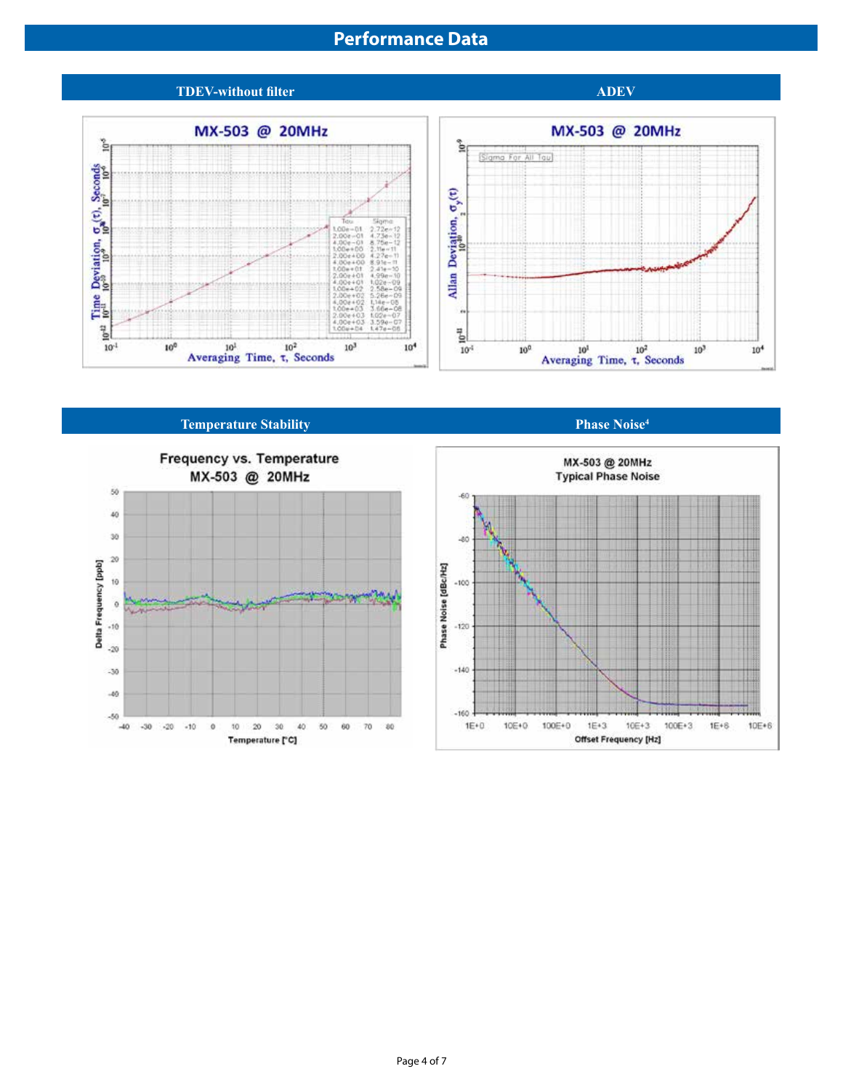## **Performance Data**

### **TDEV-without filter ADEV ADEV**





### **Temperature Stability Phase Noise<sup>4</sup> <b>Phase Noise**<sup>4</sup>



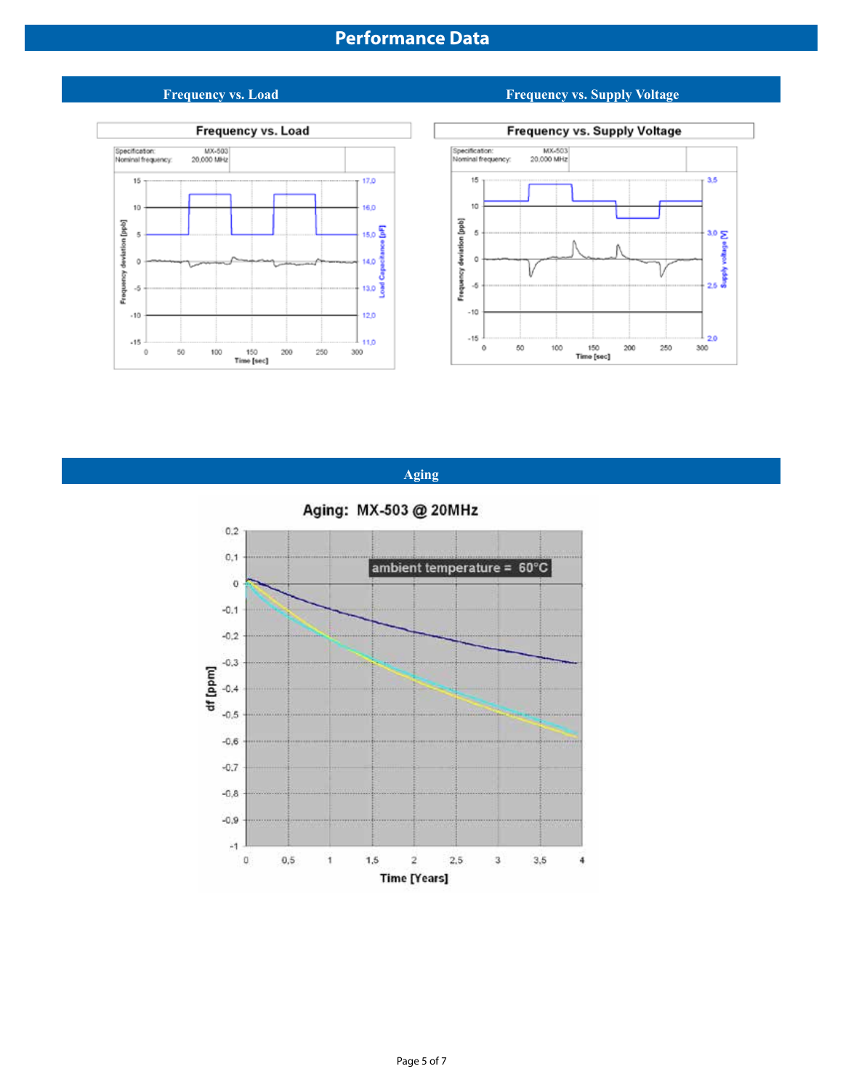



**Aging**



#### **Frequency vs. Load Frequency vs. Supply Voltage**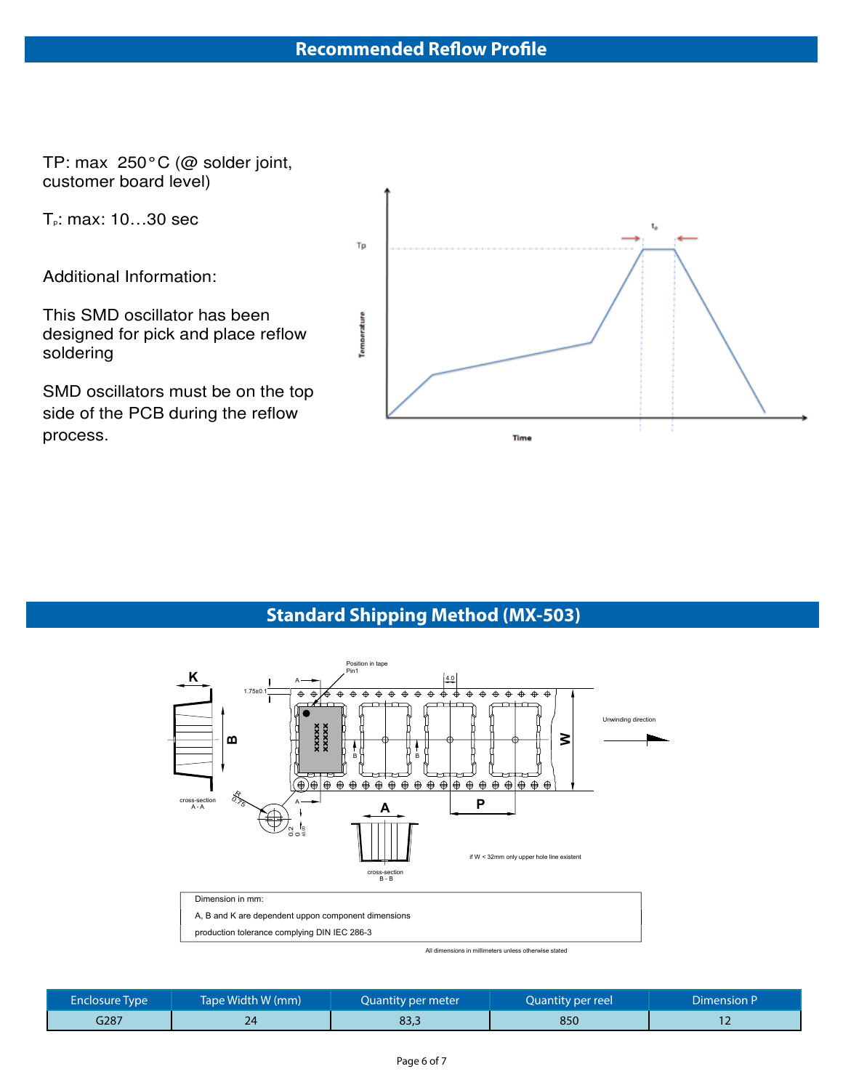TP: max 250°C (@ solder joint, customer board level)

Tp: max: 10…30 sec

Additional Information:

This SMD oscillator has been designed for pick and place reflow soldering

SMD oscillators must be on the top side of the PCB during the reflow process.



## **Standard Shipping Method (MX-503)**



| <b>Enclosure Type</b> | Tape Width W (mm) | Quantity per meter | Quantity per reel | Dimension P |
|-----------------------|-------------------|--------------------|-------------------|-------------|
| G287                  |                   | 83.5               | 850               |             |